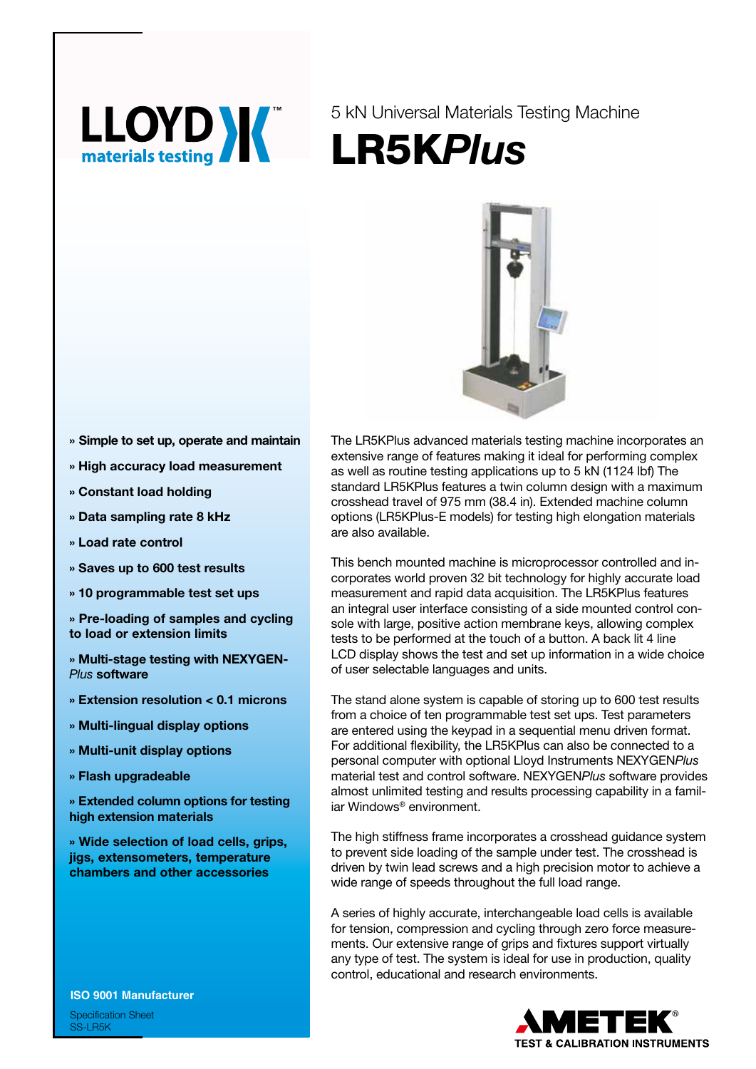

5 kN Universal Materials Testing Machine LR5K*Plus*



- **» Simple to set up, operate and maintain**
- **» High accuracy load measurement**
- **» Constant load holding**
- **» Data sampling rate 8 kHz**
- **» Load rate control**
- **» Saves up to 600 test results**
- **» 10 programmable test set ups**

**» Pre-loading of samples and cycling to load or extension limits**

- **» Multi-stage testing with NEXYGEN-***Plus* **software**
- **» Extension resolution < 0.1 microns**
- **» Multi-lingual display options**
- **» Multi-unit display options**
- **» Flash upgradeable**

**» Extended column options for testing high extension materials**

**» Wide selection of load cells, grips, jigs, extensometers, temperature chambers and other accessories**

**ISO 9001 Manufacturer**

Specification Sheet SS-LR5K

The LR5KPlus advanced materials testing machine incorporates an extensive range of features making it ideal for performing complex as well as routine testing applications up to 5 kN (1124 lbf) The standard LR5KPlus features a twin column design with a maximum crosshead travel of 975 mm (38.4 in). Extended machine column options (LR5KPlus-E models) for testing high elongation materials are also available.

This bench mounted machine is microprocessor controlled and incorporates world proven 32 bit technology for highly accurate load measurement and rapid data acquisition. The LR5KPlus features an integral user interface consisting of a side mounted control console with large, positive action membrane keys, allowing complex tests to be performed at the touch of a button. A back lit 4 line LCD display shows the test and set up information in a wide choice of user selectable languages and units.

The stand alone system is capable of storing up to 600 test results from a choice of ten programmable test set ups. Test parameters are entered using the keypad in a sequential menu driven format. For additional flexibility, the LR5KPlus can also be connected to a personal computer with optional Lloyd Instruments NEXYGEN*Plus* material test and control software. NEXYGEN*Plus* software provides almost unlimited testing and results processing capability in a familiar Windows® environment.

The high stiffness frame incorporates a crosshead guidance system to prevent side loading of the sample under test. The crosshead is driven by twin lead screws and a high precision motor to achieve a wide range of speeds throughout the full load range.

A series of highly accurate, interchangeable load cells is available for tension, compression and cycling through zero force measurements. Our extensive range of grips and fixtures support virtually any type of test. The system is ideal for use in production, quality control, educational and research environments.

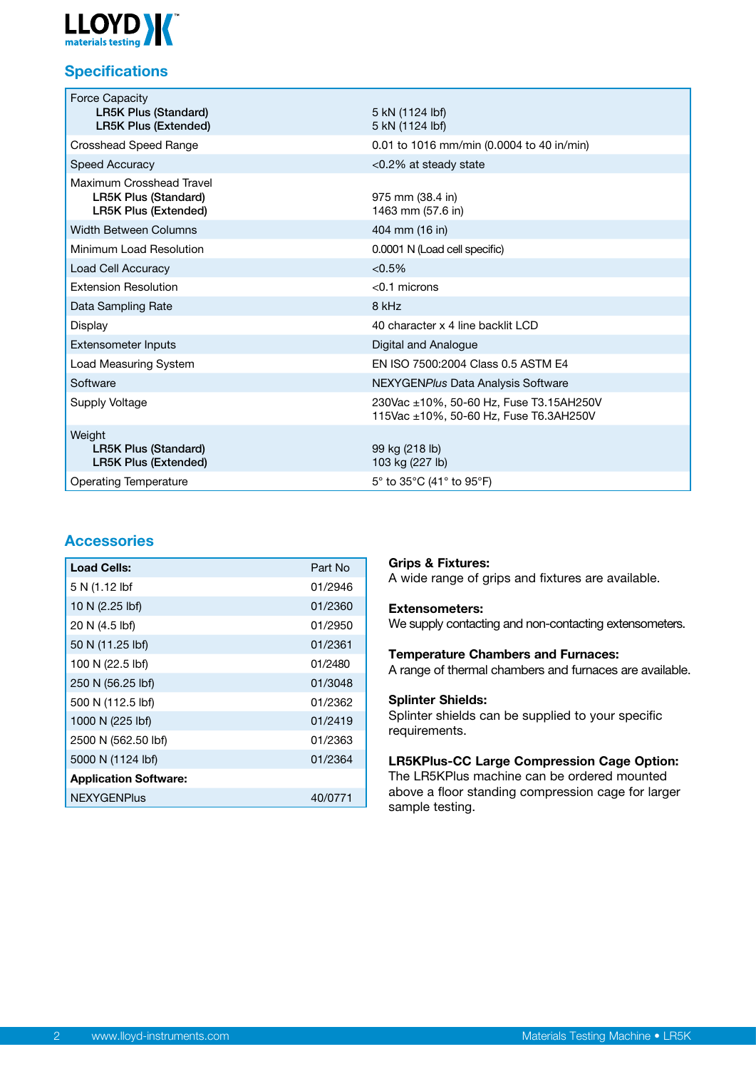

# **Specifications**

| <b>Force Capacity</b><br><b>LR5K Plus (Standard)</b><br><b>LR5K Plus (Extended)</b>    | 5 kN (1124 lbf)<br>5 kN (1124 lbf)                                                |  |
|----------------------------------------------------------------------------------------|-----------------------------------------------------------------------------------|--|
| <b>Crosshead Speed Range</b>                                                           | 0.01 to 1016 mm/min (0.0004 to 40 in/min)                                         |  |
| Speed Accuracy                                                                         | $< 0.2\%$ at steady state                                                         |  |
| Maximum Crosshead Travel<br><b>LR5K Plus (Standard)</b><br><b>LR5K Plus (Extended)</b> | 975 mm (38.4 in)<br>1463 mm (57.6 in)                                             |  |
| <b>Width Between Columns</b>                                                           | 404 mm (16 in)                                                                    |  |
| Minimum Load Resolution                                                                | 0.0001 N (Load cell specific)                                                     |  |
| Load Cell Accuracy                                                                     | < 0.5%                                                                            |  |
| <b>Extension Resolution</b>                                                            | $< 0.1$ microns                                                                   |  |
| Data Sampling Rate                                                                     | 8 kHz                                                                             |  |
| Display                                                                                | 40 character x 4 line backlit LCD                                                 |  |
| <b>Extensometer Inputs</b>                                                             | Digital and Analogue                                                              |  |
| Load Measuring System                                                                  | EN ISO 7500:2004 Class 0.5 ASTM E4                                                |  |
| Software                                                                               | NEXYGENPlus Data Analysis Software                                                |  |
| Supply Voltage                                                                         | 230Vac ±10%, 50-60 Hz, Fuse T3.15AH250V<br>115Vac ±10%, 50-60 Hz, Fuse T6.3AH250V |  |
| Weight<br><b>LR5K Plus (Standard)</b><br><b>LR5K Plus (Extended)</b>                   | 99 kg (218 lb)<br>103 kg (227 lb)                                                 |  |
| <b>Operating Temperature</b>                                                           | $5^{\circ}$ to 35 $^{\circ}$ C (41 $^{\circ}$ to 95 $^{\circ}$ F)                 |  |

## **Accessories**

| <b>Load Cells:</b>           | Part No |
|------------------------------|---------|
| 5 N (1.12 lbf                | 01/2946 |
| 10 N (2.25 lbf)              | 01/2360 |
| 20 N (4.5 lbf)               | 01/2950 |
| 50 N (11.25 lbf)             | 01/2361 |
| 100 N (22.5 lbf)             | 01/2480 |
| 250 N (56.25 lbf)            | 01/3048 |
| 500 N (112.5 lbf)            | 01/2362 |
| 1000 N (225 lbf)             | 01/2419 |
| 2500 N (562.50 lbf)          | 01/2363 |
| 5000 N (1124 lbf)            | 01/2364 |
| <b>Application Software:</b> |         |
| <b>NEXYGENPlus</b>           | 40/0771 |

## **Grips & Fixtures:**

A wide range of grips and fixtures are available.

#### **Extensometers:**

We supply contacting and non-contacting extensometers.

## **Temperature Chambers and Furnaces:**

A range of thermal chambers and furnaces are available.

### **Splinter Shields:**

Splinter shields can be supplied to your specific requirements.

## **LR5KPlus-CC Large Compression Cage Option:**

The LR5KPlus machine can be ordered mounted above a floor standing compression cage for larger sample testing.